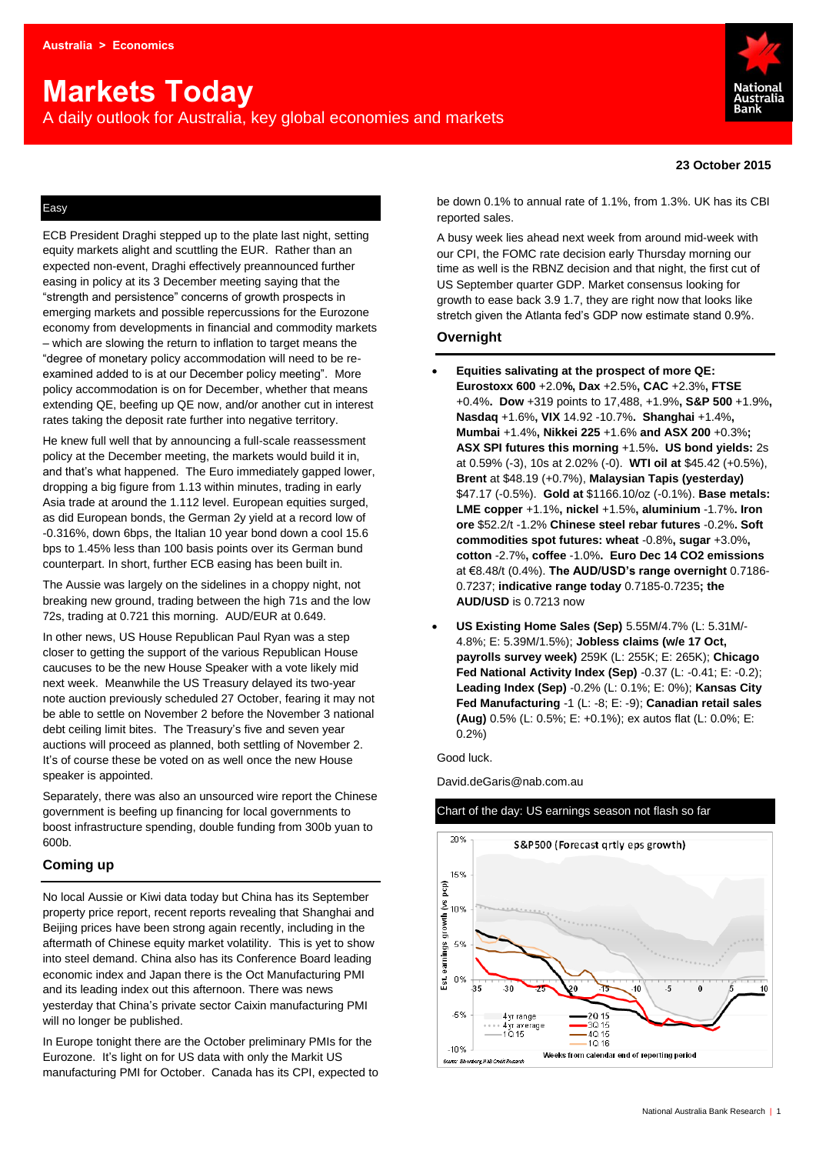# **Markets Today**

A daily outlook for Australia, key global economies and markets



# **23 October 2015**

# Easy

ECB President Draghi stepped up to the plate last night, setting equity markets alight and scuttling the EUR. Rather than an expected non-event, Draghi effectively preannounced further easing in policy at its 3 December meeting saying that the "strength and persistence" concerns of growth prospects in emerging markets and possible repercussions for the Eurozone economy from developments in financial and commodity markets – which are slowing the return to inflation to target means the "degree of monetary policy accommodation will need to be reexamined added to is at our December policy meeting". More policy accommodation is on for December, whether that means extending QE, beefing up QE now, and/or another cut in interest rates taking the deposit rate further into negative territory.

He knew full well that by announcing a full-scale reassessment policy at the December meeting, the markets would build it in, and that's what happened. The Euro immediately gapped lower, dropping a big figure from 1.13 within minutes, trading in early Asia trade at around the 1.112 level. European equities surged, as did European bonds, the German 2y yield at a record low of -0.316%, down 6bps, the Italian 10 year bond down a cool 15.6 bps to 1.45% less than 100 basis points over its German bund counterpart. In short, further ECB easing has been built in.

The Aussie was largely on the sidelines in a choppy night, not breaking new ground, trading between the high 71s and the low 72s, trading at 0.721 this morning. AUD/EUR at 0.649.

In other news, US House Republican Paul Ryan was a step closer to getting the support of the various Republican House caucuses to be the new House Speaker with a vote likely mid next week. Meanwhile the US Treasury delayed its two-year note auction previously scheduled 27 October, fearing it may not be able to settle on November 2 before the November 3 national debt ceiling limit bites. The Treasury's five and seven year auctions will proceed as planned, both settling of November 2. It's of course these be voted on as well once the new House speaker is appointed.

Separately, there was also an unsourced wire report the Chinese government is beefing up financing for local governments to boost infrastructure spending, double funding from 300b yuan to 600b.

# **Coming up**

No local Aussie or Kiwi data today but China has its September property price report, recent reports revealing that Shanghai and Beijing prices have been strong again recently, including in the aftermath of Chinese equity market volatility. This is yet to show into steel demand. China also has its Conference Board leading economic index and Japan there is the Oct Manufacturing PMI and its leading index out this afternoon. There was news yesterday that China's private sector Caixin manufacturing PMI will no longer be published.

In Europe tonight there are the October preliminary PMIs for the Eurozone. It's light on for US data with only the Markit US manufacturing PMI for October. Canada has its CPI, expected to be down 0.1% to annual rate of 1.1%, from 1.3%. UK has its CBI reported sales.

A busy week lies ahead next week from around mid-week with our CPI, the FOMC rate decision early Thursday morning our time as well is the RBNZ decision and that night, the first cut of US September quarter GDP. Market consensus looking for growth to ease back 3.9 1.7, they are right now that looks like stretch given the Atlanta fed's GDP now estimate stand 0.9%.

# **Overnight**

- **Equities salivating at the prospect of more QE: Eurostoxx 600** +2.0**%, Dax** +2.5%**, CAC** +2.3%**, FTSE** +0.4%**. Dow** +319 points to 17,488, +1.9%**, S&P 500** +1.9%**, Nasdaq** +1.6%**, VIX** 14.92 -10.7%**. Shanghai** +1.4%**, Mumbai** +1.4%**, Nikkei 225** +1.6% **and ASX 200** +0.3%**; ASX SPI futures this morning** +1.5%**. US bond yields:** 2s at 0.59% (-3), 10s at 2.02% (-0). **WTI oil at** \$45.42 (+0.5%), **Brent** at \$48.19 (+0.7%), **Malaysian Tapis (yesterday)**  \$47.17 (-0.5%). **Gold at** \$1166.10/oz (-0.1%). **Base metals: LME copper** +1.1%**, nickel** +1.5%**, aluminium** -1.7%**. Iron ore** \$52.2/t -1.2% **Chinese steel rebar futures** -0.2%**. Soft commodities spot futures: wheat** -0.8%**, sugar** +3.0%**, cotton** -2.7%**, coffee** -1.0%**. Euro Dec 14 CO2 emissions**  at €8.48/t (0.4%). **The AUD/USD's range overnight** 0.7186- 0.7237; **indicative range today** 0.7185-0.7235**; the AUD/USD** is 0.7213 now
- **US Existing Home Sales (Sep)** 5.55M/4.7% (L: 5.31M/- 4.8%; E: 5.39M/1.5%); **Jobless claims (w/e 17 Oct, payrolls survey week)** 259K (L: 255K; E: 265K); **Chicago Fed National Activity Index (Sep)** -0.37 (L: -0.41; E: -0.2); **Leading Index (Sep)** -0.2% (L: 0.1%; E: 0%); **Kansas City Fed Manufacturing** -1 (L: -8; E: -9); **Canadian retail sales (Aug)** 0.5% (L: 0.5%; E: +0.1%); ex autos flat (L: 0.0%; E: 0.2%)

Good luck.

David.deGaris@nab.com.au



Chart of the day: US earnings season not flash so far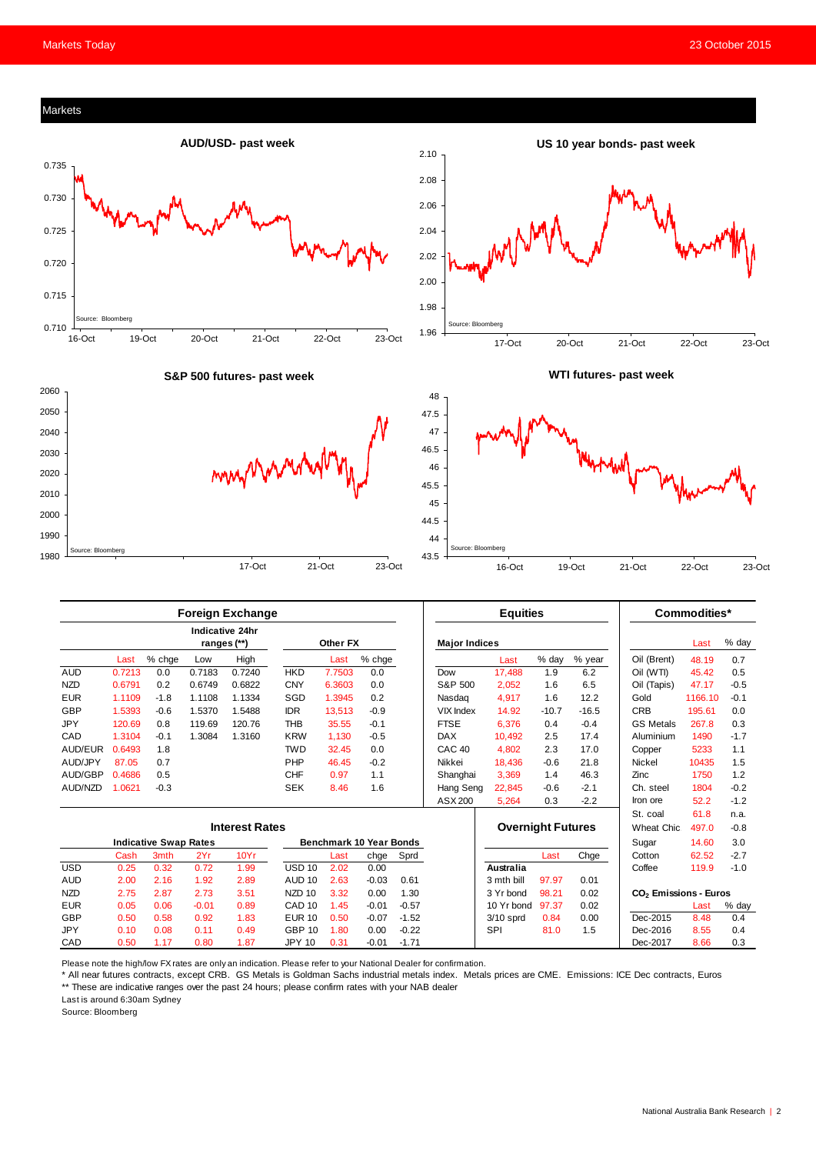# Markets





**S&P 500 futures- past week**







|                              |        |        |         | <b>Foreign Exchange</b>               |                   |          |         |         |                          | <b>Equities</b> |         |             |                                   | Commodities* |        |
|------------------------------|--------|--------|---------|---------------------------------------|-------------------|----------|---------|---------|--------------------------|-----------------|---------|-------------|-----------------------------------|--------------|--------|
|                              |        |        |         | <b>Indicative 24hr</b><br>ranges (**) |                   | Other FX |         |         | <b>Major Indices</b>     |                 |         |             |                                   | Last         | % day  |
|                              | Last   | % chge | Low     | High                                  |                   | Last     | % chge  |         |                          | Last            | % day   | % year      | Oil (Brent)                       | 48.19        | 0.7    |
| <b>AUD</b>                   | 0.7213 | 0.0    | 0.7183  | 0.7240                                | <b>HKD</b>        | 7.7503   | 0.0     |         | Dow                      | 17,488          | 1.9     | 6.2         | Oil (WTI)                         | 45.42        | 0.5    |
| <b>NZD</b>                   | 0.6791 | 0.2    | 0.6749  | 0.6822                                | <b>CNY</b>        | 6.3603   | 0.0     |         | S&P 500                  | 2,052           | 1.6     | 6.5         | Oil (Tapis)                       | 47.17        | $-0.5$ |
| <b>EUR</b>                   | 1.1109 | $-1.8$ | 1.1108  | 1.1334                                | SGD               | 1.3945   | 0.2     |         | Nasdag                   | 4.917           | 1.6     | 12.2        | Gold                              | 1166.10      | $-0.1$ |
| GBP                          | 1.5393 | $-0.6$ | 1.5370  | 1.5488                                | <b>IDR</b>        | 13.513   | $-0.9$  |         | <b>VIX Index</b>         | 14.92           | $-10.7$ | $-16.5$     | <b>CRB</b>                        | 195.61       | 0.0    |
| <b>JPY</b>                   | 120.69 | 0.8    | 119.69  | 120.76                                | <b>THB</b>        | 35.55    | $-0.1$  |         | <b>FTSE</b>              | 6.376           | 0.4     | $-0.4$      | <b>GS Metals</b>                  | 267.8        | 0.3    |
| CAD                          | 1.3104 | $-0.1$ | 1.3084  | 1.3160                                | <b>KRW</b>        | 1.130    | $-0.5$  |         | <b>DAX</b>               | 10.492          | 2.5     | 17.4        | Aluminium                         | 1490         | $-1.7$ |
| AUD/EUR                      | 0.6493 | 1.8    |         |                                       | <b>TWD</b>        | 32.45    | 0.0     |         | CAC <sub>40</sub>        | 4,802           | 2.3     | 17.0        | Copper                            | 5233         | 1.1    |
| AUD/JPY                      | 87.05  | 0.7    |         |                                       | PHP               | 46.45    | $-0.2$  |         | Nikkei                   | 18,436          | $-0.6$  | 21.8        | Nickel                            | 10435        | 1.5    |
| AUD/GBP                      | 0.4686 | 0.5    |         |                                       | <b>CHF</b>        | 0.97     | 1.1     |         | Shanghai                 | 3,369           | 1.4     | 46.3        | Zinc                              | 1750         | 1.2    |
| AUD/NZD                      | 1.0621 | $-0.3$ |         |                                       | <b>SEK</b>        | 8.46     | 1.6     |         | Hang Seng                | 22,845          | $-0.6$  | $-2.1$      | Ch. steel                         | 1804         | $-0.2$ |
|                              |        |        |         |                                       |                   |          |         |         | ASX 200                  | 5,264           | 0.3     | $-2.2$      | Iron ore                          | 52.2         | $-1.2$ |
|                              |        |        |         |                                       |                   |          |         |         |                          |                 |         |             | St. coal                          | 61.8         | n.a.   |
| <b>Interest Rates</b>        |        |        |         |                                       |                   |          |         |         | <b>Overnight Futures</b> |                 |         | Wheat Chic. | 497.0                             | $-0.8$       |        |
| <b>Indicative Swap Rates</b> |        |        |         | Benchmark 10 Year Bonds               |                   |          |         |         |                          |                 | Sugar   | 14.60       | 3.0                               |              |        |
|                              | Cash   | 3mth   | 2Yr     | 10Yr                                  |                   | Last     | chge    | Sprd    |                          |                 | Last    | Chge        | Cotton                            | 62.52        | $-2.7$ |
| <b>USD</b>                   | 0.25   | 0.32   | 0.72    | 1.99                                  | USD <sub>10</sub> | 2.02     | 0.00    |         |                          | Australia       |         |             | Coffee                            | 119.9        | $-1.0$ |
| <b>AUD</b>                   | 2.00   | 2.16   | 1.92    | 2.89                                  | AUD <sub>10</sub> | 2.63     | $-0.03$ | 0.61    |                          | 3 mth bill      | 97.97   | 0.01        |                                   |              |        |
| <b>NZD</b>                   | 2.75   | 2.87   | 2.73    | 3.51                                  | NZD <sub>10</sub> | 3.32     | 0.00    | 1.30    |                          | 3 Yr bond       | 98.21   | 0.02        | CO <sub>2</sub> Emissions - Euros |              |        |
| <b>EUR</b>                   | 0.05   | 0.06   | $-0.01$ | 0.89                                  | CAD <sub>10</sub> | 1.45     | $-0.01$ | $-0.57$ |                          | 10 Yr bond      | 97.37   | 0.02        |                                   | Last         | % day  |
| GBP                          | 0.50   | 0.58   | 0.92    | 1.83                                  | <b>EUR 10</b>     | 0.50     | $-0.07$ | $-1.52$ |                          | $3/10$ sprd     | 0.84    | 0.00        | Dec-2015                          | 8.48         | 0.4    |
| <b>JPY</b>                   | 0.10   | 0.08   | 0.11    | 0.49                                  | <b>GBP 10</b>     | 1.80     | 0.00    | $-0.22$ |                          | SPI             | 81.0    | 1.5         | Dec-2016                          | 8.55         | 0.4    |
| CAD                          | 0.50   | 1.17   | 0.80    | 1.87                                  | <b>JPY 10</b>     | 0.31     | $-0.01$ | $-1.71$ |                          |                 |         |             | Dec-2017                          | 8.66         | 0.3    |

Please note the high/low FX rates are only an indication. Please refer to your National Dealer for confirmation.

\* All near futures contracts, except CRB. GS Metals is Goldman Sachs industrial metals index. Metals prices are CME. Emissions: ICE Dec contracts, Euros \*\* These are indicative ranges over the past 24 hours; please confirm rates with your NAB dealer

Last is around 6:30am Sydney

Source: Bloomberg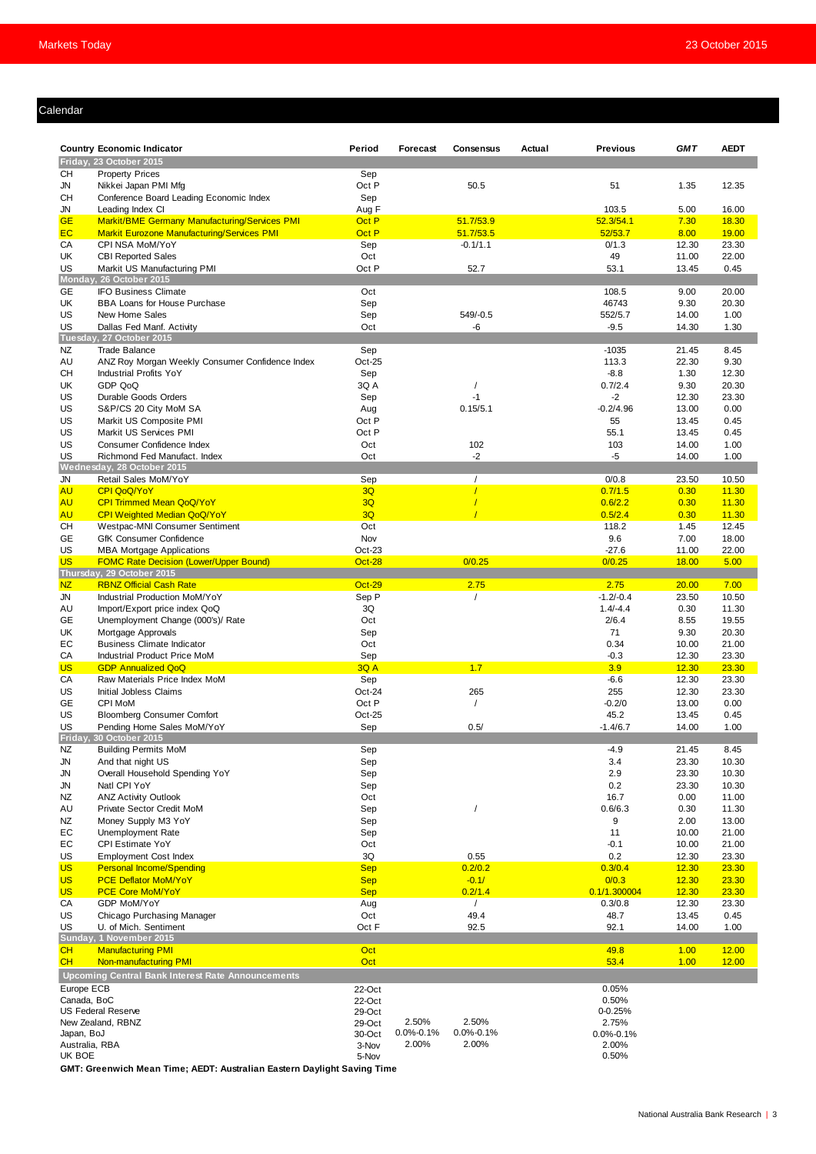# Calendar

|                | <b>Country Economic Indicator</b>                    | Period        | Forecast<br>Consensus        | Actual<br><b>Previous</b> | <b>GMT</b> | <b>AEDT</b>  |
|----------------|------------------------------------------------------|---------------|------------------------------|---------------------------|------------|--------------|
|                | Friday, 23 October 2015                              |               |                              |                           |            |              |
| CН             | <b>Property Prices</b>                               | Sep           |                              |                           |            |              |
| JN             | Nikkei Japan PMI Mfg                                 | Oct P         | 50.5                         | 51                        | 1.35       | 12.35        |
| CН             | Conference Board Leading Economic Index              | Sep           |                              |                           |            |              |
| JN             | Leading Index CI                                     | Aug F         |                              | 103.5                     | 5.00       | 16.00        |
| <b>GE</b>      | <b>Markit/BME Germany Manufacturing/Services PMI</b> | Oct P         | 51.7/53.9                    | 52.3/54.1                 | 7.30       | 18.30        |
| EC             | <b>Markit Eurozone Manufacturing/Services PMI</b>    | Oct P         | 51.7/53.5                    | 52/53.7                   | 8.00       | <b>19.00</b> |
| CA             | CPI NSA MoM/YoY                                      | Sep           | $-0.1/1.1$                   | 0/1.3                     | 12.30      | 23.30        |
| UK             | <b>CBI Reported Sales</b>                            | Oct           |                              | 49                        | 11.00      | 22.00        |
| US             | Markit US Manufacturing PMI                          | Oct P         | 52.7                         | 53.1                      | 13.45      | 0.45         |
|                | Monday, 26 October 2015                              |               |                              |                           |            |              |
| <b>GE</b>      | <b>IFO Business Climate</b>                          | Oct           |                              | 108.5                     | 9.00       | 20.00        |
| UK             | <b>BBA Loans for House Purchase</b>                  | Sep           |                              | 46743                     | 9.30       | 20.30        |
| US             | New Home Sales                                       | Sep           | 549/-0.5                     | 552/5.7                   | 14.00      | 1.00         |
| US             | Dallas Fed Manf. Activity                            | Oct           | -6                           | $-9.5$                    | 14.30      | 1.30         |
|                | Tuesday, 27 October 2015                             |               |                              |                           |            |              |
| NZ.            | <b>Trade Balance</b>                                 | Sep           |                              | $-1035$                   | 21.45      | 8.45         |
| AU             | ANZ Roy Morgan Weekly Consumer Confidence Index      | Oct-25        |                              | 113.3                     | 22.30      | 9.30         |
| CН             | <b>Industrial Profits YoY</b>                        | Sep           |                              | $-8.8$                    | 1.30       | 12.30        |
| UK             | GDP QoQ                                              | 3Q A          |                              | 0.7/2.4                   | 9.30       | 20.30        |
| US             | Durable Goods Orders                                 | Sep           | $-1$                         | $-2$                      | 12.30      | 23.30        |
| US             | S&P/CS 20 City MoM SA                                | Aug           | 0.15/5.1                     | $-0.2/4.96$               | 13.00      | 0.00         |
| US             | Markit US Composite PMI                              | Oct P         |                              | 55                        | 13.45      | 0.45         |
| US             | Markit US Services PMI                               | Oct P         |                              | 55.1                      | 13.45      | 0.45         |
| US             | Consumer Confidence Index                            | Oct           | 102                          | 103                       | 14.00      | 1.00         |
| US             | Richmond Fed Manufact. Index                         | Oct           | $-2$                         | -5                        | 14.00      | 1.00         |
|                | Wednesday, 28 October 2015                           |               |                              |                           |            |              |
| JN             | Retail Sales MoM/YoY                                 | Sep           | $\prime$                     | 0/0.8                     | 23.50      | 10.50        |
| <b>AU</b>      | CPI QoQ/YoY                                          | 3Q            | $\overline{I}$               | 0.7/1.5                   | 0.30       | 11.30        |
| <b>AU</b>      | <b>CPI Trimmed Mean QoQ/YoY</b>                      | 3Q            |                              | 0.6/2.2                   | 0.30       | 11.30        |
| <b>AU</b>      | <b>CPI Weighted Median QoQ/YoY</b>                   | 3Q            |                              | 0.5/2.4                   | 0.30       | 11.30        |
| <b>CH</b>      | Westpac-MNI Consumer Sentiment                       | Oct           |                              | 118.2                     | 1.45       | 12.45        |
| GE             | <b>GfK Consumer Confidence</b>                       | Nov           |                              | 9.6                       | 7.00       | 18.00        |
| US             | <b>MBA Mortgage Applications</b>                     | Oct-23        |                              | $-27.6$                   | 11.00      | 22.00        |
| <b>US</b>      | <b>FOMC Rate Decision (Lower/Upper Bound)</b>        | Oct-28        | 0/0.25                       | 0/0.25                    | 18.00      | 5.00         |
|                | Thursday, 29 October 2015                            |               |                              |                           |            |              |
| NZ             | <b>RBNZ Official Cash Rate</b>                       | <b>Oct-29</b> | 2.75                         | 2.75                      | 20.00      | 7.00         |
| JN             | Industrial Production MoM/YoY                        | Sep P         | $\prime$                     | $-1.2/-0.4$               | 23.50      | 10.50        |
| AU             | Import/Export price index QoQ                        | 3Q            |                              | $1.4/-4.4$                | 0.30       | 11.30        |
| GE             | Unemployment Change (000's)/ Rate                    | Oct           |                              | 2/6.4                     | 8.55       | 19.55        |
| UK             | Mortgage Approvals                                   | Sep           |                              | 71                        | 9.30       | 20.30        |
| EC             | <b>Business Climate Indicator</b>                    | Oct           |                              | 0.34                      | 10.00      | 21.00        |
| СA             | Industrial Product Price MoM                         | Sep           |                              | $-0.3$                    | 12.30      | 23.30        |
| <b>US</b>      | <b>GDP Annualized QoQ</b>                            | <b>3Q A</b>   | 1.7                          | 3.9                       | 12.30      | 23.30        |
| CA             | Raw Materials Price Index MoM                        | Sep           |                              | $-6.6$                    | 12.30      | 23.30        |
| US             | Initial Jobless Claims                               | Oct-24        | 265                          | 255                       | 12.30      | 23.30        |
| <b>GE</b>      | <b>CPI MoM</b>                                       | Oct P         | $\prime$                     | $-0.2/0$                  | 13.00      | 0.00         |
| US             | <b>Bloomberg Consumer Comfort</b>                    | Oct-25        |                              | 45.2                      | 13.45      | 0.45         |
| US             | Pending Home Sales MoM/YoY                           | Sep           | 0.5/                         | $-1.4/6.7$                | 14.00      | 1.00         |
|                | Friday, 30 October 2015                              |               |                              |                           |            |              |
| <b>NZ</b>      | <b>Building Permits MoM</b>                          | Sep           |                              | $-4.9$                    | 21.45      | 8.45         |
| JN             | And that night US                                    | Sep           |                              | 3.4                       | 23.30      | 10.30        |
| JN             | Overall Household Spending YoY                       | Sep           |                              | 2.9                       | 23.30      | 10.30        |
| JN             | Natl CPI YoY                                         | Sep           |                              | 0.2                       | 23.30      | 10.30        |
| NZ             | <b>ANZ Activity Outlook</b>                          | Oct           |                              | 16.7                      | 0.00       | 11.00        |
| AU             | Private Sector Credit MoM                            | Sep           | $\prime$                     | 0.6/6.3                   | 0.30       | 11.30        |
| NZ             | Money Supply M3 YoY                                  | Sep           |                              | 9                         | 2.00       | 13.00        |
| EC             | Unemployment Rate                                    | Sep           |                              | 11                        | 10.00      | 21.00        |
| EC             | <b>CPI Estimate YoY</b>                              | Oct           |                              | $-0.1$                    | 10.00      | 21.00        |
| US             | <b>Employment Cost Index</b>                         | 3Q            | 0.55                         | 0.2                       | 12.30      | 23.30        |
| <b>US</b>      | <b>Personal Income/Spending</b>                      | <b>Sep</b>    | 0.2/0.2                      | 0.3/0.4                   | 12.30      | 23.30        |
| <b>US</b>      | <b>PCE Deflator MoM/YoY</b>                          | <b>Sep</b>    | $-0.1/$                      | 0/0.3                     | 12.30      | 23.30        |
| <b>US</b>      | <b>PCE Core MoM/YoY</b>                              | <b>Sep</b>    | 0.2/1.4                      | 0.1/1.300004              | 12.30      | 23.30        |
| CA             | GDP MoM/YoY                                          | Aug           | $\prime$                     | 0.3/0.8                   | 12.30      | 23.30        |
| US             | Chicago Purchasing Manager                           | Oct           | 49.4                         | 48.7                      | 13.45      | 0.45         |
| US             | U. of Mich. Sentiment                                | Oct F         | 92.5                         | 92.1                      | 14.00      | 1.00         |
|                | Sunday, 1 November 2015                              |               |                              |                           |            |              |
| CH             | <b>Manufacturing PMI</b>                             | Oct           |                              | 49.8                      | 1.00       | 12.00        |
| CH             | Non-manufacturing PMI                                | Oct           |                              | 53.4                      | 1.00       | 12.00        |
|                | Upcoming Central Bank Interest Rate Announcements    |               |                              |                           |            |              |
| Europe ECB     |                                                      | 22-Oct        |                              | 0.05%                     |            |              |
| Canada, BoC    |                                                      | 22-Oct        |                              | 0.50%                     |            |              |
|                | <b>US Federal Reserve</b>                            | 29-Oct        |                              | 0-0.25%                   |            |              |
|                | New Zealand, RBNZ                                    | 29-Oct        | 2.50%<br>2.50%               | 2.75%                     |            |              |
| Japan, BoJ     |                                                      | 30-Oct        | 0.0%-0.1%<br>$0.0\% - 0.1\%$ | 0.0%-0.1%                 |            |              |
| Australia, RBA |                                                      | 3-Nov         | 2.00%<br>2.00%               | 2.00%                     |            |              |
| UK BOE         |                                                      | 5-Nov         |                              | 0.50%                     |            |              |

**GMT: Greenwich Mean Time; AEDT: Australian Eastern Daylight Saving Time**